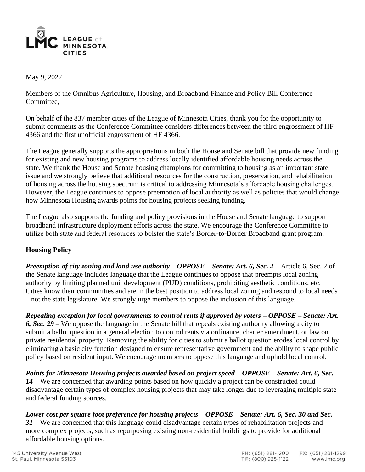

May 9, 2022

Members of the Omnibus Agriculture, Housing, and Broadband Finance and Policy Bill Conference Committee,

On behalf of the 837 member cities of the League of Minnesota Cities, thank you for the opportunity to submit comments as the Conference Committee considers differences between the third engrossment of HF 4366 and the first unofficial engrossment of HF 4366.

The League generally supports the appropriations in both the House and Senate bill that provide new funding for existing and new housing programs to address locally identified affordable housing needs across the state. We thank the House and Senate housing champions for committing to housing as an important state issue and we strongly believe that additional resources for the construction, preservation, and rehabilitation of housing across the housing spectrum is critical to addressing Minnesota's affordable housing challenges. However, the League continues to oppose preemption of local authority as well as policies that would change how Minnesota Housing awards points for housing projects seeking funding.

The League also supports the funding and policy provisions in the House and Senate language to support broadband infrastructure deployment efforts across the state. We encourage the Conference Committee to utilize both state and federal resources to bolster the state's Border-to-Border Broadband grant program.

## **Housing Policy**

*Preemption of city zoning and land use authority – OPPOSE – Senate: Art. 6, Sec. 2* – Article 6, Sec. 2 of the Senate language includes language that the League continues to oppose that preempts local zoning authority by limiting planned unit development (PUD) conditions, prohibiting aesthetic conditions, etc. Cities know their communities and are in the best position to address local zoning and respond to local needs – not the state legislature. We strongly urge members to oppose the inclusion of this language.

*Repealing exception for local governments to control rents if approved by voters – OPPOSE – Senate: Art. 6, Sec. 29* **–** We oppose the language in the Senate bill that repeals existing authority allowing a city to submit a ballot question in a general election to control rents via ordinance, charter amendment, or law on private residential property. Removing the ability for cities to submit a ballot question erodes local control by eliminating a basic city function designed to ensure representative government and the ability to shape public policy based on resident input. We encourage members to oppose this language and uphold local control.

*Points for Minnesota Housing projects awarded based on project speed – OPPOSE – Senate: Art. 6, Sec. 14* **–** We are concerned that awarding points based on how quickly a project can be constructed could disadvantage certain types of complex housing projects that may take longer due to leveraging multiple state and federal funding sources.

*Lower cost per square foot preference for housing projects – OPPOSE – Senate: Art. 6, Sec. 30 and Sec. 31* – We are concerned that this language could disadvantage certain types of rehabilitation projects and more complex projects, such as repurposing existing non-residential buildings to provide for additional affordable housing options.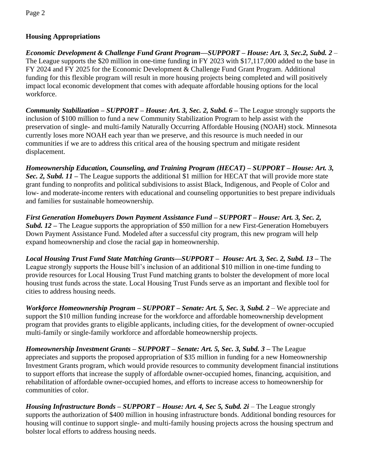## **Housing Appropriations**

*Economic Development & Challenge Fund Grant Program—SUPPORT* **–** *House: Art. 3, Sec.2, Subd. 2* – The League supports the \$20 million in one-time funding in FY 2023 with \$17,117,000 added to the base in FY 2024 and FY 2025 for the Economic Development & Challenge Fund Grant Program. Additional funding for this flexible program will result in more housing projects being completed and will positively impact local economic development that comes with adequate affordable housing options for the local workforce.

*Community Stabilization – SUPPORT – House: Art. 3, Sec. 2, Subd. 6* **–** The League strongly supports the inclusion of \$100 million to fund a new Community Stabilization Program to help assist with the preservation of single- and multi-family Naturally Occurring Affordable Housing (NOAH) stock. Minnesota currently loses more NOAH each year than we preserve, and this resource is much needed in our communities if we are to address this critical area of the housing spectrum and mitigate resident displacement.

*Homeownership Education, Counseling, and Training Program (HECAT) – SUPPORT – House: Art. 3, Sec. 2, Subd. 11* **–** The League supports the additional \$1 million for HECAT that will provide more state grant funding to nonprofits and political subdivisions to assist Black, Indigenous, and People of Color and low- and moderate-income renters with educational and counseling opportunities to best prepare individuals and families for sustainable homeownership.

*First Generation Homebuyers Down Payment Assistance Fund – SUPPORT – House: Art. 3, Sec. 2, Subd.* 12 – The League supports the appropriation of \$50 million for a new First-Generation Homebuyers Down Payment Assistance Fund. Modeled after a successful city program, this new program will help expand homeownership and close the racial gap in homeownership.

*Local Housing Trust Fund State Matching Grants—SUPPORT* **–** *House: Art. 3, Sec. 2, Subd. 13* **–** The League strongly supports the House bill's inclusion of an additional \$10 million in one-time funding to provide resources for Local Housing Trust Fund matching grants to bolster the development of more local housing trust funds across the state. Local Housing Trust Funds serve as an important and flexible tool for cities to address housing needs.

*Workforce Homeownership Program – SUPPORT – Senate: Art. 5, Sec. 3, Subd. 2 –* We appreciate and support the \$10 million funding increase for the workforce and affordable homeownership development program that provides grants to eligible applicants, including cities, for the development of owner-occupied multi-family or single-family workforce and affordable homeownership projects.

*Homeownership Investment Grants – SUPPORT – Senate: Art. 5, Sec. 3, Subd. 3* **–** The League appreciates and supports the proposed appropriation of \$35 million in funding for a new Homeownership Investment Grants program, which would provide resources to community development financial institutions to support efforts that increase the supply of affordable owner-occupied homes, financing, acquisition, and rehabilitation of affordable owner-occupied homes, and efforts to increase access to homeownership for communities of color.

*Housing Infrastructure Bonds – SUPPORT – House: Art. 4, Sec 5, Subd. 2i –* The League strongly supports the authorization of \$400 million in housing infrastructure bonds. Additional bonding resources for housing will continue to support single- and multi-family housing projects across the housing spectrum and bolster local efforts to address housing needs.